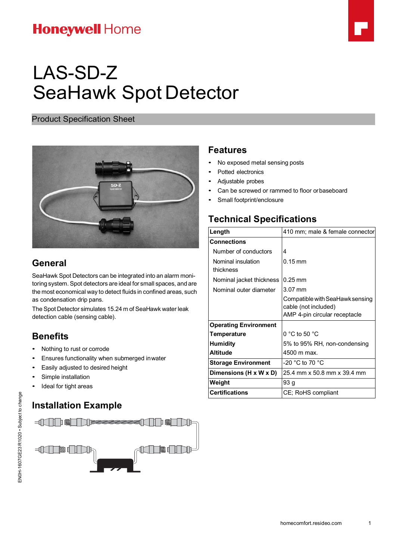## **Honeywell Home**



# LAS-SD-Z SeaHawk Spot Detector

Product Specification Sheet



### **General**

SeaHawk Spot Detectors can be integrated into an alarm monitoring system. Spot detectors are ideal for small spaces, and are the most economical way to detect fluids in confined areas, such as condensation drip pans.

The Spot Detector simulates 15.24 m of SeaHawk water leak detection cable (sensing cable).

#### **Benefits**

- Nothing to rust or corrode
- Ensures functionality when submerged inwater
- Easily adjusted to desired height
- Simple installation
- Ideal for tight areas

#### **Installation Example**



#### **Features**

- No exposed metal sensing posts
- Potted electronics
- Adjustable probes
- Can be screwed or rammed to floor orbaseboard
- Small footprint/enclosure

#### **Technical Specifications**

| Length                          | 410 mm; male & female connector                                                          |
|---------------------------------|------------------------------------------------------------------------------------------|
| <b>Connections</b>              |                                                                                          |
| Number of conductors            | 4                                                                                        |
| Nominal insulation<br>thickness | $0.15 \,\mathrm{mm}$                                                                     |
| Nominal jacket thickness        | $0.25$ mm                                                                                |
| Nominal outer diameter          | 3.07 mm                                                                                  |
|                                 | Compatible with SeaHawk sensing<br>cable (not included)<br>AMP 4-pin circular receptacle |
| <b>Operating Environment</b>    |                                                                                          |
| <b>Temperature</b>              | $0 °C$ to 50 $°C$                                                                        |
| <b>Humidity</b>                 | 5% to 95% RH, non-condensing                                                             |
| <b>Altitude</b>                 | 4500 m max.                                                                              |
| <b>Storage Environment</b>      | -20 °C to 70 °C                                                                          |
| Dimensions (H x W x D)          | 25.4 mm x 50.8 mm x 39.4 mm                                                              |
| Weight                          | 93 g                                                                                     |
| <b>Certifications</b>           | CE; RoHS compliant                                                                       |